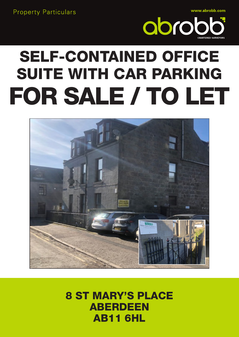**Property Particulars** 

www.abrobb.com



# **SELF-CONTAINED OFFICE** SUITE WITH CAR PARKING FOR SALE / TO LET



### **8 ST MARY'S PLACE ABERDEEN AB11 6HL**